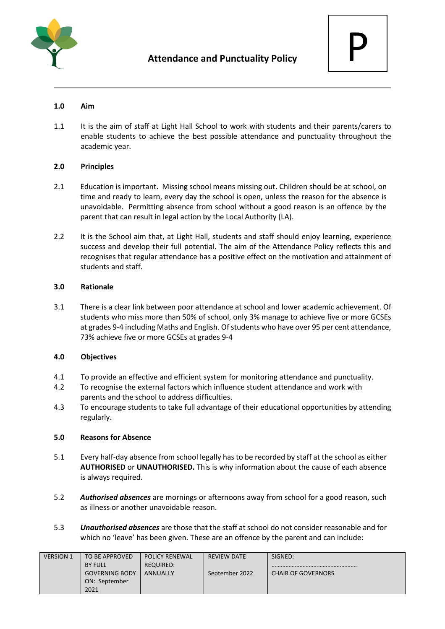



# **1.0 Aim**

1.1 It is the aim of staff at Light Hall School to work with students and their parents/carers to enable students to achieve the best possible attendance and punctuality throughout the academic year.

# **2.0 Principles**

- 2.1 Education is important. Missing school means missing out. Children should be at school, on time and ready to learn, every day the school is open, unless the reason for the absence is unavoidable. Permitting absence from school without a good reason is an offence by the parent that can result in legal action by the Local Authority (LA).
- 2.2 It is the School aim that, at Light Hall, students and staff should enjoy learning, experience success and develop their full potential. The aim of the Attendance Policy reflects this and recognises that regular attendance has a positive effect on the motivation and attainment of students and staff.

# **3.0 Rationale**

3.1 There is a clear link between poor attendance at school and lower academic achievement. Of students who miss more than 50% of school, only 3% manage to achieve five or more GCSEs at grades 9-4 including Maths and English. Of students who have over 95 per cent attendance, 73% achieve five or more GCSEs at grades 9-4

# **4.0 Objectives**

- 4.1 To provide an effective and efficient system for monitoring attendance and punctuality.
- 4.2 To recognise the external factors which influence student attendance and work with parents and the school to address difficulties.
- 4.3 To encourage students to take full advantage of their educational opportunities by attending regularly.

# **5.0 Reasons for Absence**

- 5.1 Every half-day absence from school legally has to be recorded by staff at the school as either **AUTHORISED** or **UNAUTHORISED.** This is why information about the cause of each absence is always required.
- 5.2 *Authorised absences* are mornings or afternoons away from school for a good reason, such as illness or another unavoidable reason.
- 5.3 *Unauthorised absences* are those that the staff at school do not consider reasonable and for which no 'leave' has been given. These are an offence by the parent and can include:

| <b>VERSION 1</b> | TO BE APPROVED        | <b>POLICY RENEWAL</b> | <b>REVIEW DATE</b> | SIGNED:                   |
|------------------|-----------------------|-----------------------|--------------------|---------------------------|
|                  | <b>BY FULL</b>        | REQUIRED:             |                    |                           |
|                  | <b>GOVERNING BODY</b> | <b>ANNUALLY</b>       | September 2022     | <b>CHAIR OF GOVERNORS</b> |
|                  | ON: September         |                       |                    |                           |
|                  | 2021                  |                       |                    |                           |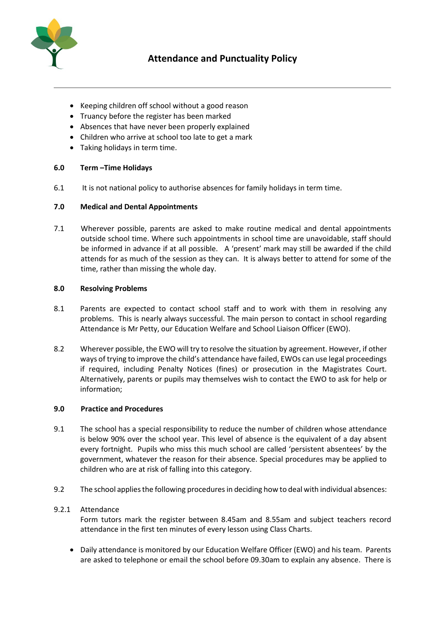

- Keeping children off school without a good reason
- Truancy before the register has been marked
- Absences that have never been properly explained
- Children who arrive at school too late to get a mark
- Taking holidays in term time.

# **6.0 Term –Time Holidays**

6.1 It is not national policy to authorise absences for family holidays in term time.

# **7.0 Medical and Dental Appointments**

7.1 Wherever possible, parents are asked to make routine medical and dental appointments outside school time. Where such appointments in school time are unavoidable, staff should be informed in advance if at all possible. A 'present' mark may still be awarded if the child attends for as much of the session as they can. It is always better to attend for some of the time, rather than missing the whole day.

#### **8.0 Resolving Problems**

- 8.1 Parents are expected to contact school staff and to work with them in resolving any problems. This is nearly always successful. The main person to contact in school regarding Attendance is Mr Petty, our Education Welfare and School Liaison Officer (EWO).
- 8.2 Wherever possible, the EWO will try to resolve the situation by agreement. However, if other ways of trying to improve the child's attendance have failed, EWOs can use legal proceedings if required, including Penalty Notices (fines) or prosecution in the Magistrates Court. Alternatively, parents or pupils may themselves wish to contact the EWO to ask for help or information;

#### **9.0 Practice and Procedures**

- 9.1 The school has a special responsibility to reduce the number of children whose attendance is below 90% over the school year. This level of absence is the equivalent of a day absent every fortnight. Pupils who miss this much school are called 'persistent absentees' by the government, whatever the reason for their absence. Special procedures may be applied to children who are at risk of falling into this category.
- 9.2 The school applies the following procedures in deciding how to deal with individual absences:

# 9.2.1 Attendance

Form tutors mark the register between 8.45am and 8.55am and subject teachers record attendance in the first ten minutes of every lesson using Class Charts.

• Daily attendance is monitored by our Education Welfare Officer (EWO) and his team. Parents are asked to telephone or email the school before 09.30am to explain any absence. There is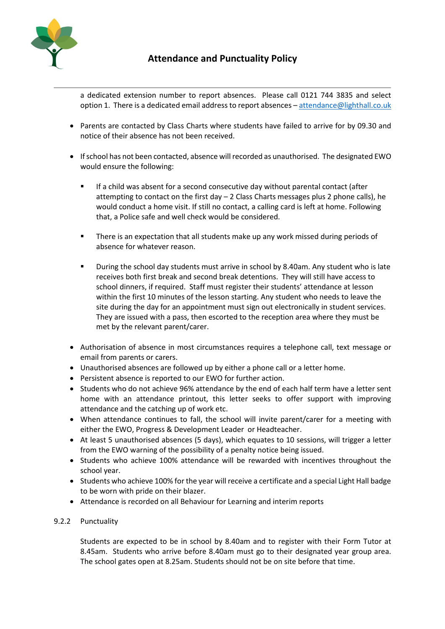

a dedicated extension number to report absences. Please call 0121 744 3835 and select option 1. There is a dedicated email address to report absences - [attendance@lighthall.co.uk](mailto:attendance@lighthall.co.uk)

- Parents are contacted by Class Charts where students have failed to arrive for by 09.30 and notice of their absence has not been received.
- If school has not been contacted, absence will recorded as unauthorised. The designated EWO would ensure the following:
	- If a child was absent for a second consecutive day without parental contact (after attempting to contact on the first day  $-2$  Class Charts messages plus 2 phone calls), he would conduct a home visit. If still no contact, a calling card is left at home. Following that, a Police safe and well check would be considered.
	- There is an expectation that all students make up any work missed during periods of absence for whatever reason.
	- During the school day students must arrive in school by 8.40am. Any student who is late receives both first break and second break detentions. They will still have access to school dinners, if required. Staff must register their students' attendance at lesson within the first 10 minutes of the lesson starting. Any student who needs to leave the site during the day for an appointment must sign out electronically in student services. They are issued with a pass, then escorted to the reception area where they must be met by the relevant parent/carer.
- Authorisation of absence in most circumstances requires a telephone call, text message or email from parents or carers.
- Unauthorised absences are followed up by either a phone call or a letter home.
- Persistent absence is reported to our EWO for further action.
- Students who do not achieve 96% attendance by the end of each half term have a letter sent home with an attendance printout, this letter seeks to offer support with improving attendance and the catching up of work etc.
- When attendance continues to fall, the school will invite parent/carer for a meeting with either the EWO, Progress & Development Leader or Headteacher.
- At least 5 unauthorised absences (5 days), which equates to 10 sessions, will trigger a letter from the EWO warning of the possibility of a penalty notice being issued.
- Students who achieve 100% attendance will be rewarded with incentives throughout the school year.
- Students who achieve 100% for the year will receive a certificate and a special Light Hall badge to be worn with pride on their blazer.
- Attendance is recorded on all Behaviour for Learning and interim reports

# 9.2.2 Punctuality

Students are expected to be in school by 8.40am and to register with their Form Tutor at 8.45am. Students who arrive before 8.40am must go to their designated year group area. The school gates open at 8.25am. Students should not be on site before that time.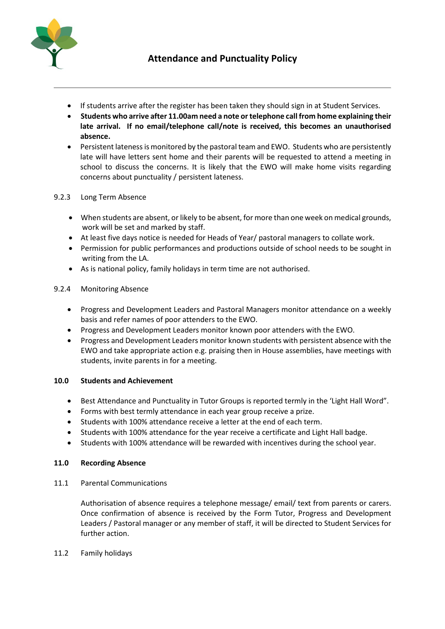

- If students arrive after the register has been taken they should sign in at Student Services.
- **Students who arrive after 11.00am need a note or telephone call from home explaining their late arrival. If no email/telephone call/note is received, this becomes an unauthorised absence.**
- Persistent lateness is monitored by the pastoral team and EWO. Students who are persistently late will have letters sent home and their parents will be requested to attend a meeting in school to discuss the concerns. It is likely that the EWO will make home visits regarding concerns about punctuality / persistent lateness.

# 9.2.3 Long Term Absence

- When students are absent, or likely to be absent, for more than one week on medical grounds, work will be set and marked by staff.
- At least five days notice is needed for Heads of Year/ pastoral managers to collate work.
- Permission for public performances and productions outside of school needs to be sought in writing from the LA.
- As is national policy, family holidays in term time are not authorised.

# 9.2.4 Monitoring Absence

- Progress and Development Leaders and Pastoral Managers monitor attendance on a weekly basis and refer names of poor attenders to the EWO.
- Progress and Development Leaders monitor known poor attenders with the EWO.
- Progress and Development Leaders monitor known students with persistent absence with the EWO and take appropriate action e.g. praising then in House assemblies, have meetings with students, invite parents in for a meeting.

# **10.0 Students and Achievement**

- Best Attendance and Punctuality in Tutor Groups is reported termly in the 'Light Hall Word".
- Forms with best termly attendance in each year group receive a prize.
- Students with 100% attendance receive a letter at the end of each term.
- Students with 100% attendance for the year receive a certificate and Light Hall badge.
- Students with 100% attendance will be rewarded with incentives during the school year.

# **11.0 Recording Absence**

11.1 Parental Communications

Authorisation of absence requires a telephone message/ email/ text from parents or carers. Once confirmation of absence is received by the Form Tutor, Progress and Development Leaders / Pastoral manager or any member of staff, it will be directed to Student Services for further action.

# 11.2 Family holidays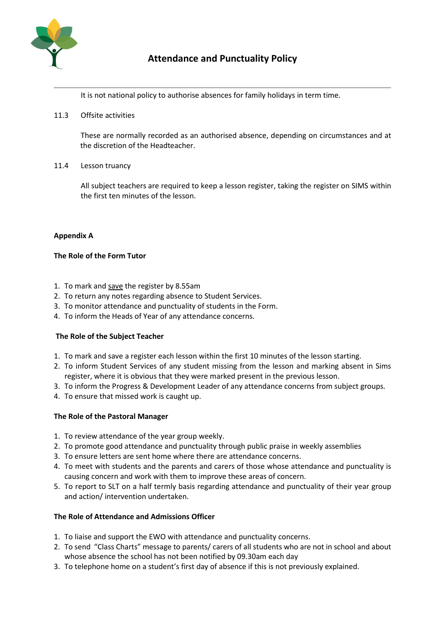

It is not national policy to authorise absences for family holidays in term time.

11.3 Offsite activities

These are normally recorded as an authorised absence, depending on circumstances and at the discretion of the Headteacher.

11.4 Lesson truancy

All subject teachers are required to keep a lesson register, taking the register on SIMS within the first ten minutes of the lesson.

# **Appendix A**

# **The Role of the Form Tutor**

- 1. To mark and save the register by 8.55am
- 2. To return any notes regarding absence to Student Services.
- 3. To monitor attendance and punctuality of students in the Form.
- 4. To inform the Heads of Year of any attendance concerns.

# **The Role of the Subject Teacher**

- 1. To mark and save a register each lesson within the first 10 minutes of the lesson starting.
- 2. To inform Student Services of any student missing from the lesson and marking absent in Sims register, where it is obvious that they were marked present in the previous lesson.
- 3. To inform the Progress & Development Leader of any attendance concerns from subject groups.
- 4. To ensure that missed work is caught up.

# **The Role of the Pastoral Manager**

- 1. To review attendance of the year group weekly.
- 2. To promote good attendance and punctuality through public praise in weekly assemblies
- 3. To ensure letters are sent home where there are attendance concerns.
- 4. To meet with students and the parents and carers of those whose attendance and punctuality is causing concern and work with them to improve these areas of concern.
- 5. To report to SLT on a half termly basis regarding attendance and punctuality of their year group and action/ intervention undertaken.

# **The Role of Attendance and Admissions Officer**

- 1. To liaise and support the EWO with attendance and punctuality concerns.
- 2. To send "Class Charts" message to parents/ carers of all students who are not in school and about whose absence the school has not been notified by 09.30am each day
- 3. To telephone home on a student's first day of absence if this is not previously explained.